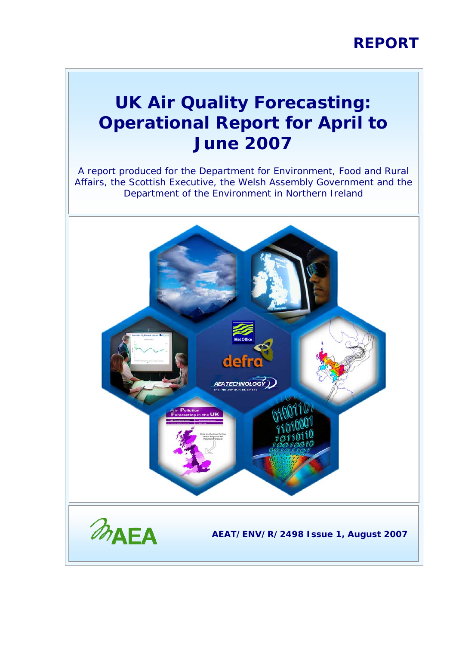### **REPORT**

### **UK Air Quality Forecasting: Operational Report for April to June 2007**

A report produced for the Department for Environment, Food and Rural Affairs, the Scottish Executive, the Welsh Assembly Government and the Department of the Environment in Northern Ireland

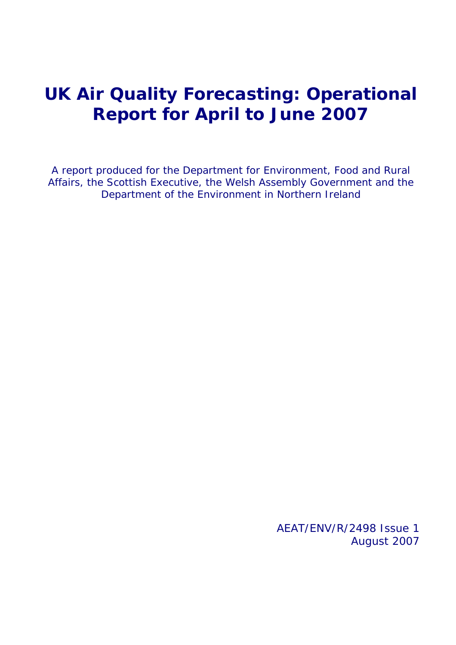### **UK Air Quality Forecasting: Operational Report for April to June 2007**

A report produced for the Department for Environment, Food and Rural Affairs, the Scottish Executive, the Welsh Assembly Government and the Department of the Environment in Northern Ireland

> AEAT/ENV/R/2498 Issue 1 August 2007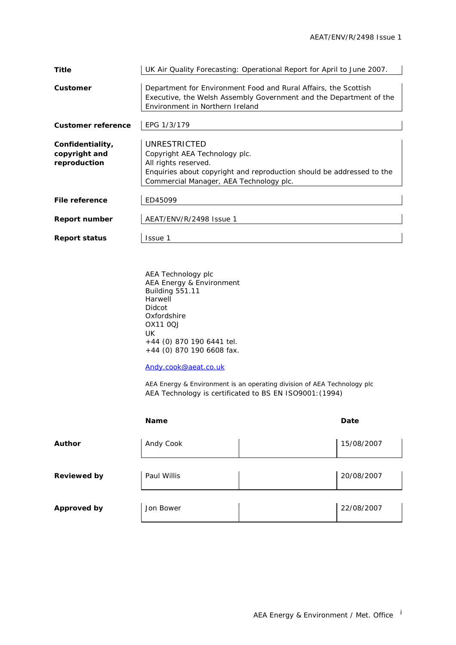| <b>Title</b>              | UK Air Quality Forecasting: Operational Report for April to June 2007.                                           |  |  |  |  |  |  |  |
|---------------------------|------------------------------------------------------------------------------------------------------------------|--|--|--|--|--|--|--|
| Customer                  | Department for Environment Food and Rural Affairs, the Scottish                                                  |  |  |  |  |  |  |  |
|                           | Executive, the Welsh Assembly Government and the Department of the<br>Environment in Northern Ireland            |  |  |  |  |  |  |  |
| <b>Customer reference</b> | EPG 1/3/179                                                                                                      |  |  |  |  |  |  |  |
| Confidentiality,          | UNRESTRICTED                                                                                                     |  |  |  |  |  |  |  |
| copyright and             | Copyright AEA Technology plc.                                                                                    |  |  |  |  |  |  |  |
| reproduction              | All rights reserved.                                                                                             |  |  |  |  |  |  |  |
|                           | Enquiries about copyright and reproduction should be addressed to the<br>Commercial Manager, AEA Technology plc. |  |  |  |  |  |  |  |
|                           |                                                                                                                  |  |  |  |  |  |  |  |
| <b>File reference</b>     | ED45099                                                                                                          |  |  |  |  |  |  |  |
| <b>Report number</b>      | AEAT/ENV/R/2498 Issue 1                                                                                          |  |  |  |  |  |  |  |
| <b>Report status</b>      | Issue 1                                                                                                          |  |  |  |  |  |  |  |
|                           |                                                                                                                  |  |  |  |  |  |  |  |
|                           |                                                                                                                  |  |  |  |  |  |  |  |
|                           |                                                                                                                  |  |  |  |  |  |  |  |

AEA Technology plc AEA Energy & Environment Building 551.11 **Harwell** Didcot **Oxfordshire** OX11 0QJ UK +44 (0) 870 190 6441 tel. +44 (0) 870 190 6608 fax.

[Andy.cook@aeat.co.uk](mailto:Jaume.targa@aeat.co.uk)

AEA Energy & Environment is an operating division of AEA Technology plc AEA Technology is certificated to BS EN ISO9001:(1994)

|                    | <b>Name</b> | Date |            |  |
|--------------------|-------------|------|------------|--|
| <b>Author</b>      | Andy Cook   |      | 15/08/2007 |  |
| <b>Reviewed by</b> | Paul Willis |      | 20/08/2007 |  |
| <b>Approved by</b> | Jon Bower   |      | 22/08/2007 |  |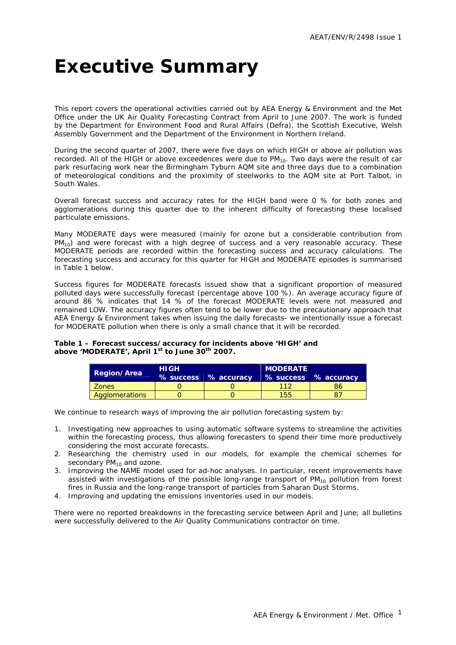## <span id="page-3-0"></span>**Executive Summary**

This report covers the operational activities carried out by AEA Energy & Environment and the Met Office under the UK Air Quality Forecasting Contract from April to June 2007. The work is funded by the Department for Environment Food and Rural Affairs (Defra), the Scottish Executive, Welsh Assembly Government and the Department of the Environment in Northern Ireland.

During the second quarter of 2007, there were five days on which HIGH or above air pollution was recorded. All of the HIGH or above exceedences were due to  $PM_{10}$ . Two days were the result of car park resurfacing work near the Birmingham Tyburn AQM site and three days due to a combination of meteorological conditions and the proximity of steelworks to the AQM site at Port Talbot, in South Wales.

Overall forecast success and accuracy rates for the HIGH band were 0 % for both zones and agglomerations during this quarter due to the inherent difficulty of forecasting these localised particulate emissions.

Many MODERATE days were measured (mainly for ozone but a considerable contribution from  $PM_{10}$ ) and were forecast with a high degree of success and a very reasonable accuracy. These MODERATE periods are recorded within the forecasting success and accuracy calculations. The forecasting success and accuracy for this quarter for HIGH and MODERATE episodes is summarised in Table 1 below.

Success figures for MODERATE forecasts issued show that a significant proportion of measured polluted days were successfully forecast (percentage above 100 %). An average accuracy figure of around 86 % indicates that 14 % of the forecast MODERATE levels were not measured and remained LOW. The accuracy figures often tend to be lower due to the precautionary approach that AEA Energy & Environment takes when issuing the daily forecasts- we intentionally issue a forecast for MODERATE pollution when there is only a small chance that it will be recorded.

#### **Table 1 – Forecast success/accuracy for incidents above 'HIGH' and above 'MODERATE', April 1st to June 30th 2007.**

| <b>Region/Area</b> | <b>HIGH</b> |                       | <b>MODERATE</b> |                      |  |  |  |
|--------------------|-------------|-----------------------|-----------------|----------------------|--|--|--|
|                    |             | % success % accuracy. |                 | % success % accuracy |  |  |  |
| Zones              |             |                       |                 | 86                   |  |  |  |
| Agglomerations     |             |                       | 1551            |                      |  |  |  |

We continue to research ways of improving the air pollution forecasting system by:

- 1. Investigating new approaches to using automatic software systems to streamline the activities within the forecasting process, thus allowing forecasters to spend their time more productively considering the most accurate forecasts.
- 2. Researching the chemistry used in our models, for example the chemical schemes for secondary  $PM_{10}$  and ozone.
- 3. Improving the NAME model used for ad-hoc analyses. In particular, recent improvements have assisted with investigations of the possible long-range transport of  $PM_{10}$  pollution from forest fires in Russia and the long-range transport of particles from Saharan Dust Storms.
- 4. Improving and updating the emissions inventories used in our models.

There were no reported breakdowns in the forecasting service between April and June; all bulletins were successfully delivered to the Air Quality Communications contractor on time.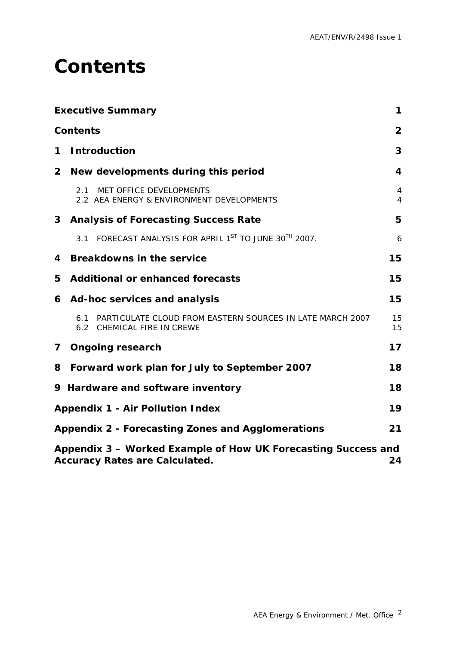### <span id="page-4-0"></span>**Contents**

|              | <b>Executive Summary</b>                                                                               | 1              |
|--------------|--------------------------------------------------------------------------------------------------------|----------------|
|              | <b>Contents</b>                                                                                        | $\overline{2}$ |
| 1            | <b>Introduction</b>                                                                                    | 3              |
| $\mathbf{2}$ | New developments during this period                                                                    | 4              |
|              | MET OFFICE DEVELOPMENTS<br>2.1<br>2.2 AEA ENERGY & ENVIRONMENT DEVELOPMENTS                            | 4<br>4         |
|              | 3 Analysis of Forecasting Success Rate                                                                 | 5              |
|              | FORECAST ANALYSIS FOR APRIL 1ST TO JUNE 30TH 2007.<br>3.1                                              | 6              |
| 4            | <b>Breakdowns in the service</b>                                                                       | 15             |
| 5            | <b>Additional or enhanced forecasts</b>                                                                | 15             |
|              | 6 Ad-hoc services and analysis                                                                         | 15             |
|              | PARTICULATE CLOUD FROM EASTERN SOURCES IN LATE MARCH 2007<br>6.1<br>6.2 CHEMICAL FIRE IN CREWE         | 15<br>15       |
| $\mathbf{7}$ | <b>Ongoing research</b>                                                                                | 17             |
| 8            | Forward work plan for July to September 2007                                                           | 18             |
|              | 9 Hardware and software inventory                                                                      | 18             |
|              | <b>Appendix 1 - Air Pollution Index</b>                                                                | 19             |
|              | Appendix 2 - Forecasting Zones and Agglomerations                                                      | 21             |
|              | Appendix 3 - Worked Example of How UK Forecasting Success and<br><b>Accuracy Rates are Calculated.</b> | 24             |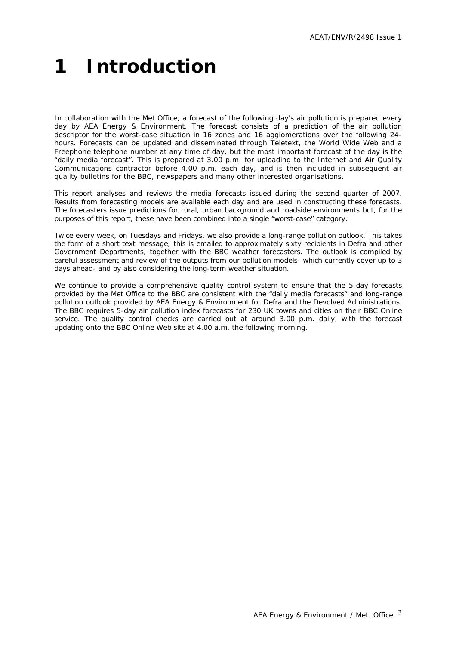# <span id="page-5-0"></span>**1 Introduction**

In collaboration with the Met Office, a forecast of the following day's air pollution is prepared every day by AEA Energy & Environment. The forecast consists of a prediction of the air pollution descriptor for the worst-case situation in 16 zones and 16 agglomerations over the following 24 hours. Forecasts can be updated and disseminated through Teletext, the World Wide Web and a Freephone telephone number at any time of day, but the most important forecast of the day is the "daily media forecast". This is prepared at 3.00 p.m. for uploading to the Internet and Air Quality Communications contractor before 4.00 p.m. each day, and is then included in subsequent air quality bulletins for the BBC, newspapers and many other interested organisations.

This report analyses and reviews the media forecasts issued during the second quarter of 2007. Results from forecasting models are available each day and are used in constructing these forecasts. The forecasters issue predictions for rural, urban background and roadside environments but, for the purposes of this report, these have been combined into a single "worst-case" category.

Twice every week, on Tuesdays and Fridays, we also provide a long-range pollution outlook. This takes the form of a short text message; this is emailed to approximately sixty recipients in Defra and other Government Departments, together with the BBC weather forecasters. The outlook is compiled by careful assessment and review of the outputs from our pollution models- which currently cover up to 3 days ahead- and by also considering the long-term weather situation.

We continue to provide a comprehensive quality control system to ensure that the 5-day forecasts provided by the Met Office to the BBC are consistent with the "daily media forecasts" and long-range pollution outlook provided by AEA Energy & Environment for Defra and the Devolved Administrations. The BBC requires 5-day air pollution index forecasts for 230 UK towns and cities on their BBC Online service. The quality control checks are carried out at around 3.00 p.m. daily, with the forecast updating onto the BBC Online Web site at 4.00 a.m. the following morning.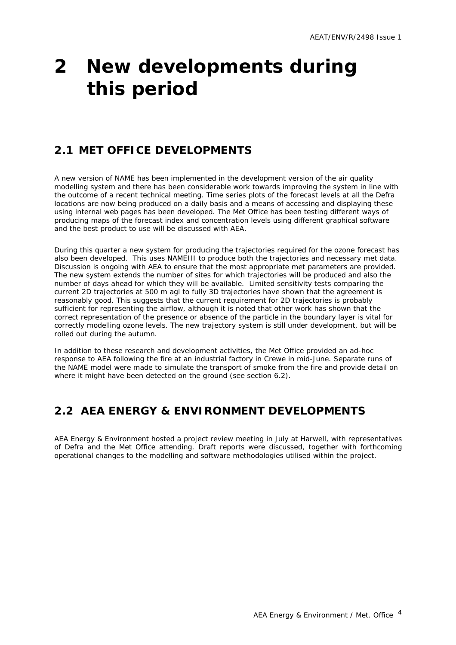## <span id="page-6-0"></span>**2 New developments during this period**

### **2.1 MET OFFICE DEVELOPMENTS**

A new version of NAME has been implemented in the development version of the air quality modelling system and there has been considerable work towards improving the system in line with the outcome of a recent technical meeting. Time series plots of the forecast levels at all the Defra locations are now being produced on a daily basis and a means of accessing and displaying these using internal web pages has been developed. The Met Office has been testing different ways of producing maps of the forecast index and concentration levels using different graphical software and the best product to use will be discussed with AEA.

During this quarter a new system for producing the trajectories required for the ozone forecast has also been developed. This uses NAMEIII to produce both the trajectories and necessary met data. Discussion is ongoing with AEA to ensure that the most appropriate met parameters are provided. The new system extends the number of sites for which trajectories will be produced and also the number of days ahead for which they will be available. Limited sensitivity tests comparing the current 2D trajectories at 500 m agl to fully 3D trajectories have shown that the agreement is reasonably good. This suggests that the current requirement for 2D trajectories is probably sufficient for representing the airflow, although it is noted that other work has shown that the correct representation of the presence or absence of the particle in the boundary layer is vital for correctly modelling ozone levels. The new trajectory system is still under development, but will be rolled out during the autumn.

In addition to these research and development activities, the Met Office provided an ad-hoc response to AEA following the fire at an industrial factory in Crewe in mid-June. Separate runs of the NAME model were made to simulate the transport of smoke from the fire and provide detail on where it might have been detected on the ground (see section 6.2).

### **2.2 AEA ENERGY & ENVIRONMENT DEVELOPMENTS**

AEA Energy & Environment hosted a project review meeting in July at Harwell, with representatives of Defra and the Met Office attending. Draft reports were discussed, together with forthcoming operational changes to the modelling and software methodologies utilised within the project.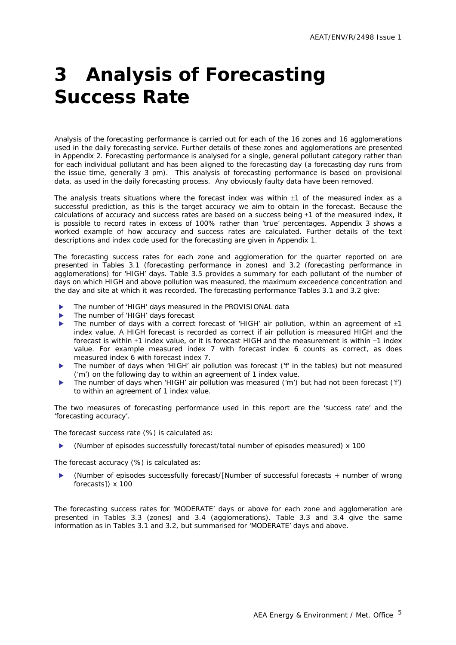# <span id="page-7-0"></span>**3 Analysis of Forecasting Success Rate**

Analysis of the forecasting performance is carried out for each of the 16 zones and 16 agglomerations used in the daily forecasting service. Further details of these zones and agglomerations are presented in Appendix 2. Forecasting performance is analysed for a single, general pollutant category rather than for each individual pollutant and has been aligned to the forecasting day (a forecasting day runs from the issue time, generally 3 pm). This analysis of forecasting performance is based on provisional data, as used in the daily forecasting process. Any obviously faulty data have been removed.

The analysis treats situations where the forecast index was within  $\pm 1$  of the measured index as a successful prediction, as this is the target accuracy we aim to obtain in the forecast. Because the calculations of accuracy and success rates are based on a success being  $\pm 1$  of the measured index, it is possible to record rates in excess of 100% rather than 'true' percentages. Appendix 3 shows a worked example of how accuracy and success rates are calculated. Further details of the text descriptions and index code used for the forecasting are given in Appendix 1.

The forecasting success rates for each zone and agglomeration for the quarter reported on are presented in Tables 3.1 (forecasting performance in zones) and 3.2 (forecasting performance in agglomerations) for 'HIGH' days. Table 3.5 provides a summary for each pollutant of the number of days on which HIGH and above pollution was measured, the maximum exceedence concentration and the day and site at which it was recorded. The forecasting performance Tables 3.1 and 3.2 give:

- The number of 'HIGH' days measured in the PROVISIONAL data
- The number of 'HIGH' days forecast
- The number of days with a correct forecast of 'HIGH' air pollution, within an agreement of  $\pm 1$ index value. A HIGH forecast is recorded as correct if air pollution is measured HIGH and the forecast is within ±1 index value, or it is forecast HIGH and the measurement is within ±1 index value. For example measured index 7 with forecast index 6 counts as correct, as does measured index 6 with forecast index 7.
- The number of days when 'HIGH' air pollution was forecast ('f' in the tables) but not measured ('m') on the following day to within an agreement of 1 index value.
- The number of days when 'HIGH' air pollution was measured ('m') but had not been forecast ('f') to within an agreement of 1 index value.

The two measures of forecasting performance used in this report are the 'success rate' and the 'forecasting accuracy'.

The forecast success rate (%) is calculated as:

(Number of episodes successfully forecast/total number of episodes measured) x 100

The forecast accuracy (%) is calculated as:

X (Number of episodes successfully forecast/[Number of successful forecasts + number of wrong forecasts]) x 100

The forecasting success rates for 'MODERATE' days or above for each zone and agglomeration are presented in Tables 3.3 (zones) and 3.4 (agglomerations). Table 3.3 and 3.4 give the same information as in Tables 3.1 and 3.2, but summarised for 'MODERATE' days and above.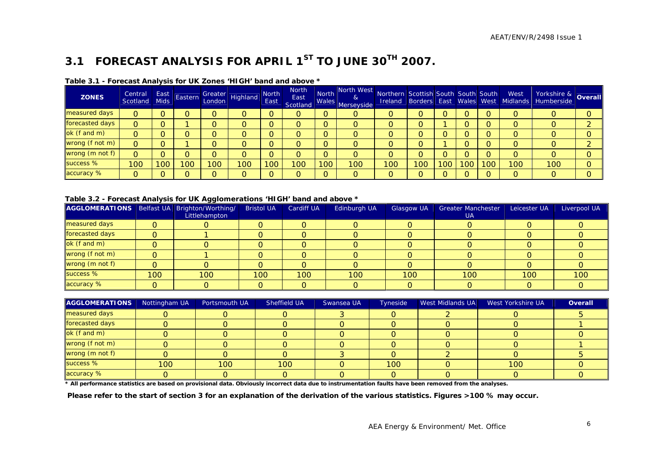### **3.1 FORECAST ANALYSIS FOR APRIL 1ST TO JUNE 30TH 2007.**

| <b>ZONES</b>    | Central<br>Scotland | East<br><b>Mids</b> | Eastern |     | Greater<br>London Highland | <b>North</b><br>East | <b>North</b><br>East<br>Scotland |                  | North North West<br>$\alpha$<br>Males Merseyside | Northern Scottish South South South West |     |     |     |    | Ireland Borders East Wales West Midlands | Yorkshire & <b>Overall</b> |  |
|-----------------|---------------------|---------------------|---------|-----|----------------------------|----------------------|----------------------------------|------------------|--------------------------------------------------|------------------------------------------|-----|-----|-----|----|------------------------------------------|----------------------------|--|
| measured days   | 0                   |                     |         |     |                            |                      | O                                |                  | O                                                |                                          |     |     |     |    |                                          |                            |  |
| forecasted days | 0                   |                     |         |     |                            |                      | O                                |                  | O                                                |                                          | O   |     |     |    |                                          |                            |  |
| ok (f and m)    |                     |                     |         |     |                            |                      | O                                |                  |                                                  |                                          |     |     |     |    |                                          |                            |  |
| wrong (f not m) | 0                   |                     |         |     |                            |                      | O                                |                  |                                                  |                                          |     |     |     |    |                                          |                            |  |
| wrong (m not f) | 0                   |                     |         |     |                            |                      | 0                                |                  |                                                  |                                          |     |     |     |    |                                          |                            |  |
| success %       | 100                 | 100                 | 00      | 100 | '00'                       | 100                  | 100                              | 100 <sub>1</sub> | 100                                              | 100                                      | 100 | 100 | 100 | 00 | 100                                      | 100                        |  |
| accuracy %      | 0                   |                     |         | ∩   |                            |                      | $\Omega$                         | $\Omega$         | 0                                                |                                          |     |     | ∩   |    |                                          | O                          |  |

#### **Table 3.1 - Forecast Analysis for UK Zones 'HIGH' band and above \***

#### **Table 3.2 - Forecast Analysis for UK Agglomerations 'HIGH' band and above \***

| AGGLOMERATIONS   Belfast UA   Brighton/Worthing/ |     | ---<br>Littlehampton | <b>Bristol UA</b> | <b>Cardiff UA</b> | Edinburgh UA | <b>Glasgow UA</b> | <b>Greater Manchester</b><br>UA. | Leicester UA | Liverpool UA |
|--------------------------------------------------|-----|----------------------|-------------------|-------------------|--------------|-------------------|----------------------------------|--------------|--------------|
| measured days                                    |     |                      |                   |                   |              |                   |                                  |              |              |
| forecasted days                                  | 0   |                      |                   |                   |              |                   |                                  |              |              |
| ok (f and m)                                     | O   |                      |                   |                   |              |                   |                                  |              |              |
| wrong (f not m)                                  | 0   |                      |                   |                   |              |                   |                                  |              |              |
| wrong (m not f)                                  | 0   |                      |                   |                   |              |                   |                                  |              |              |
| success %                                        | 100 | 100                  | 100               | 100               | 100          | 100               | 100                              | 100          | 100          |
| accuracy %                                       |     |                      |                   |                   |              |                   |                                  |              |              |

| <b>AGGLOMERATIONS</b> | Nottingham UA | Portsmouth UA | Sheffield UA | Swansea UA | Tyneside | <b>West Midlands UA</b> | West Yorkshire UA | Overall |
|-----------------------|---------------|---------------|--------------|------------|----------|-------------------------|-------------------|---------|
| measured days         |               |               |              |            |          |                         |                   |         |
| forecasted days       |               |               |              |            |          |                         |                   |         |
| ok (f and m)          |               |               |              |            |          |                         |                   |         |
| wrong (f not m)       |               |               |              |            |          |                         |                   |         |
| wrong (m not f)       |               |               |              |            |          |                         |                   |         |
| success %             | 100           | 100           | 100          |            | 100      |                         | 100               |         |
| accuracy %            |               |               |              |            |          |                         |                   |         |

**\* All performance statistics are based on provisional data. Obviously incorrect data due to instrumentation faults have been removed from the analyses.** 

<span id="page-8-0"></span> **Please refer to the start of section 3 for an explanation of the derivation of the various statistics. Figures >100 % may occur.**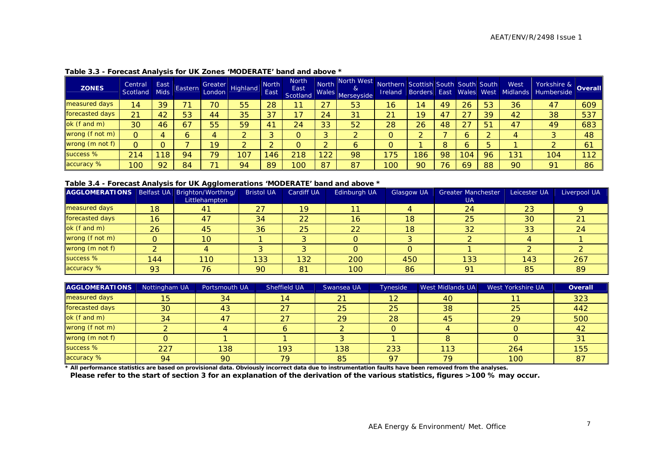| <b>ZONES</b>       | Central<br>Scotland | East<br><b>Mids</b> | Eastern | Greater<br>London | Highland | <b>North</b><br>East | <b>North</b><br>East<br>Scotland | North<br>Wales | North West<br>&<br>Merseyside | Northern Scottish South South South<br><b>Ireland</b> | <b>Borders East</b> |    |     | Wales West | West<br>Midlands | Yorkshire & Overall |                |
|--------------------|---------------------|---------------------|---------|-------------------|----------|----------------------|----------------------------------|----------------|-------------------------------|-------------------------------------------------------|---------------------|----|-----|------------|------------------|---------------------|----------------|
| measured days      | 14                  | 39                  |         | 70                | 55       | 28                   |                                  | 27             | 53                            | 16 <sup>°</sup>                                       | 14                  | 49 | 26  | 53         | 36               | 47                  | 609            |
| forecasted days    | 21                  | 42                  | 53      | 44                | 35       | 37                   | 17                               | 24             | 31                            | 21                                                    | 19                  | 47 | つフ  | 39         | 42               | 38                  | 537            |
| $\alpha$ (f and m) | 30                  | 46                  | 67      | 55                | 59       | 4 <sup>7</sup>       | 24                               | 33             | 52                            | 28                                                    | 26                  | 48 |     | 51         | 47               | 49                  | 683            |
| wrong (f not m)    | O                   |                     |         |                   |          |                      | $\circ$                          | G<br>w         | ົ                             |                                                       |                     |    |     |            |                  |                     | 48             |
| wrong (m not f)    |                     |                     |         | 19                |          |                      | $\circ$                          |                | 6                             |                                                       |                     |    |     |            |                  |                     | 6 <sup>1</sup> |
| success %          | 214                 | 118                 | 94      | 79                | 107      | 46                   | 218                              | 122            | 98                            | 75                                                    | 186                 | 98 | 104 | 96         | 131              | 104                 | 112            |
| accuracy %         | 100                 | 92                  | 84      | 74                | 94       | 89                   | 100                              | 87             | 87                            | 100                                                   | 90                  | 76 | 69  | 88         | 90               | 91                  | 86             |

#### **Table 3.3 - Forecast Analysis for UK Zones 'MODERATE' band and above \***

#### **Table 3.4 - Forecast Analysis for UK Agglomerations 'MODERATE' band and above \***

| AGGLOMERATIONS   Belfast UA   Brighton/Worthing/ |        |               | <b>Bristol UA</b> | <b>Cardiff UA</b> | Edinburgh UA | Glasgow UA | <b>Greater Manchester</b> | Leicester UA | Liverpool UA |
|--------------------------------------------------|--------|---------------|-------------------|-------------------|--------------|------------|---------------------------|--------------|--------------|
|                                                  |        | Littlehampton |                   |                   |              |            | <b>UA</b>                 |              |              |
| measured days                                    | 18     | 41            | 27                | 19                | 11.          |            | 24                        | 23           |              |
| forecasted days                                  | 16     | 47            | 34                | 22                | 16           | 18         | 25                        | 30           |              |
| ok (f and m)                                     | 26     | 45            | 36                | 25                | 22           | 18         | 32                        | 33           | 24           |
| wrong (f not m)                                  |        | 10            |                   |                   |              |            |                           |              |              |
| wrong (m not f)                                  | $\sim$ |               |                   |                   |              |            |                           |              |              |
| success %                                        | 144    | 110           | 133               | 132               | 200          | 450        | 133                       | 143          | 267          |
| accuracy %                                       | 93     | 76            | 90                | 81                | 100          | 86         | 91                        | 85           | 89           |

| <b>AGGLOMERATIONS</b> | Nottingham UA | Portsmouth UA | Sheffield UA | Swansea UA | Tyneside | West Midlands UA | West Yorkshire UA | <b>Overall</b> |
|-----------------------|---------------|---------------|--------------|------------|----------|------------------|-------------------|----------------|
| measured days         | 15            | 34            | 14           | 21         | 12       | 40               |                   | 323            |
| forecasted days       | 30            | 43            | 27           | 25         | 25       | 38               | 25                | 442            |
| ok (f and m)          | 34            | 47            | 27           | 29         | 28       | 45               | 29                | 500            |
| wrong (f not m)       |               |               |              |            |          |                  |                   | 42             |
| wrong (m not f)       |               |               |              |            |          |                  |                   |                |
| success %             | 227           | 138           | 193          | 138        | 233      | 113              | 264               | 155            |
| accuracy %            | 94            | 90            | 79           | 85         | 97       | 79               | 100               | <b>87</b>      |

**\* All performance statistics are based on provisional data. Obviously incorrect data due to instrumentation faults have been removed from the analyses.** 

**Please refer to the start of section 3 for an explanation of the derivation of the various statistics, figures >100 % may occur.**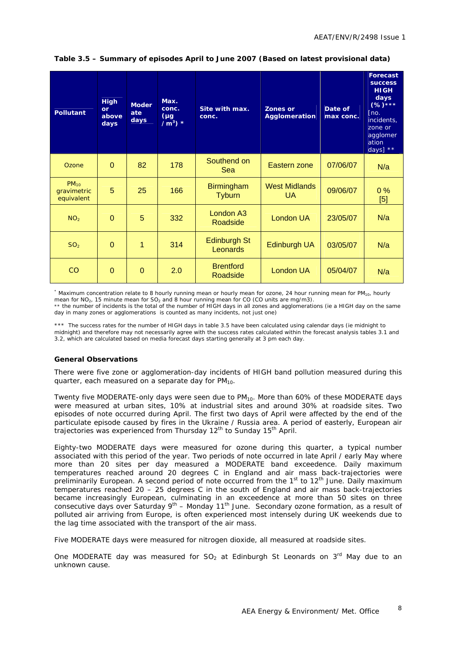| <b>Pollutant</b>                       | <b>High</b><br>or<br>above<br>days | <b>Moder</b><br>ate<br>days | Max.<br>conc.<br>$(\mu g)$<br>$/m^3$ ) * | Site with max.<br>conc.            | <b>Zones or</b><br><b>Agglomeration</b> | Date of<br>max conc. | <b>Forecast</b><br><b>SUCCESS</b><br><b>HIGH</b><br>days<br>$(%)****$<br>[no.<br>incidents,<br>zone or<br>agglomer<br>ation<br>days] $**$ |
|----------------------------------------|------------------------------------|-----------------------------|------------------------------------------|------------------------------------|-----------------------------------------|----------------------|-------------------------------------------------------------------------------------------------------------------------------------------|
| Ozone                                  | $\Omega$                           | 82                          | 178                                      | Southend on<br>Sea                 | Eastern zone                            | 07/06/07             | N/a                                                                                                                                       |
| $PM_{10}$<br>gravimetric<br>equivalent | 5                                  | 25                          | 166                                      | <b>Birmingham</b><br><b>Tyburn</b> | <b>West Midlands</b><br><b>UA</b>       | 09/06/07             | 0%<br>[5]                                                                                                                                 |
| NO <sub>2</sub>                        | $\Omega$                           | 5                           | 332                                      | London <sub>A3</sub><br>Roadside   | London UA                               | 23/05/07             | N/a                                                                                                                                       |
| SO <sub>2</sub>                        | $\Omega$                           | 1                           | 314                                      | <b>Edinburgh St</b><br>Leonards    | Edinburgh UA                            | 03/05/07             | N/a                                                                                                                                       |
| CO                                     | $\Omega$                           | $\Omega$                    | 2.0                                      | <b>Brentford</b><br>Roadside       | London UA                               | 05/04/07             | N/a                                                                                                                                       |

#### **Table 3.5 – Summary of episodes April to June 2007 (Based on latest provisional data)**

\* Maximum concentration relate to 8 hourly running mean or hourly mean for ozone, 24 hour running mean for PM<sub>10</sub>, hourly mean for NO<sub>2</sub>, 15 minute mean for SO<sub>2</sub> and 8 hour running mean for CO (CO units are mg/m3). \*\* the number of incidents is the total of the number of HIGH days in all zones and agglomerations (ie a HIGH day on the same day in many zones or agglomerations is counted as many incidents, not just one)

\*\*\* The success rates for the number of HIGH days in table 3.5 have been calculated using calendar days (ie midnight to midnight) and therefore may not necessarily agree with the success rates calculated within the forecast analysis tables 3.1 and 3.2, which are calculated based on media forecast days starting generally at 3 pm each day.

#### **General Observations**

There were five zone or agglomeration-day incidents of HIGH band pollution measured during this quarter, each measured on a separate day for  $PM_{10}$ .

Twenty five MODERATE-only days were seen due to  $PM_{10}$ . More than 60% of these MODERATE days were measured at urban sites, 10% at industrial sites and around 30% at roadside sites. Two episodes of note occurred during April. The first two days of April were affected by the end of the particulate episode caused by fires in the Ukraine / Russia area. A period of easterly, European air trajectories was experienced from Thursday 12<sup>th</sup> to Sunday 15<sup>th</sup> April.

Eighty-two MODERATE days were measured for ozone during this quarter, a typical number associated with this period of the year. Two periods of note occurred in late April / early May where more than 20 sites per day measured a MODERATE band exceedence. Daily maximum temperatures reached around 20 degrees C in England and air mass back-trajectories were preliminarily European. A second period of note occurred from the 1<sup>st</sup> to 12<sup>th</sup> June. Daily maximum temperatures reached 20 – 25 degrees C in the south of England and air mass back-trajectories became increasingly European, culminating in an exceedence at more than 50 sites on three consecutive days over Saturday 9<sup>th</sup> – Monday 11<sup>th</sup> June. Secondary ozone formation, as a result of polluted air arriving from Europe, is often experienced most intensely during UK weekends due to the lag time associated with the transport of the air mass.

Five MODERATE days were measured for nitrogen dioxide, all measured at roadside sites.

One MODERATE day was measured for SO<sub>2</sub> at Edinburgh St Leonards on  $3<sup>rd</sup>$  May due to an unknown cause.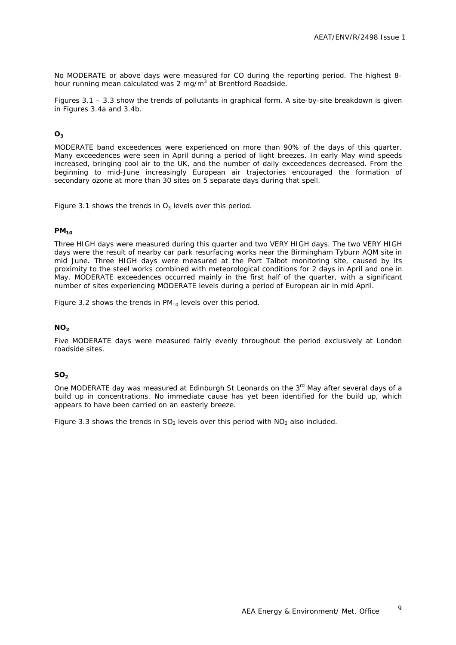No MODERATE or above days were measured for CO during the reporting period. The highest 8 hour running mean calculated was 2 mg/m<sup>3</sup> at Brentford Roadside.

Figures 3.1 – 3.3 show the trends of pollutants in graphical form. A site-by-site breakdown is given in Figures 3.4a and 3.4b.

#### **O3**

MODERATE band exceedences were experienced on more than 90% of the days of this quarter. Many exceedences were seen in April during a period of light breezes. In early May wind speeds increased, bringing cool air to the UK, and the number of daily exceedences decreased. From the beginning to mid-June increasingly European air trajectories encouraged the formation of secondary ozone at more than 30 sites on 5 separate days during that spell.

Figure 3.1 shows the trends in  $O_3$  levels over this period.

#### **PM10**

Three HIGH days were measured during this quarter and two VERY HIGH days. The two VERY HIGH days were the result of nearby car park resurfacing works near the Birmingham Tyburn AQM site in mid June. Three HIGH days were measured at the Port Talbot monitoring site, caused by its proximity to the steel works combined with meteorological conditions for 2 days in April and one in May. MODERATE exceedences occurred mainly in the first half of the quarter, with a significant number of sites experiencing MODERATE levels during a period of European air in mid April.

Figure 3.2 shows the trends in  $PM_{10}$  levels over this period.

#### $NO<sub>2</sub>$

Five MODERATE days were measured fairly evenly throughout the period exclusively at London roadside sites.

#### **SO<sub>2</sub>**

One MODERATE day was measured at Edinburgh St Leonards on the 3<sup>rd</sup> May after several days of a build up in concentrations. No immediate cause has yet been identified for the build up, which appears to have been carried on an easterly breeze.

Figure 3.3 shows the trends in  $SO<sub>2</sub>$  levels over this period with  $NO<sub>2</sub>$  also included.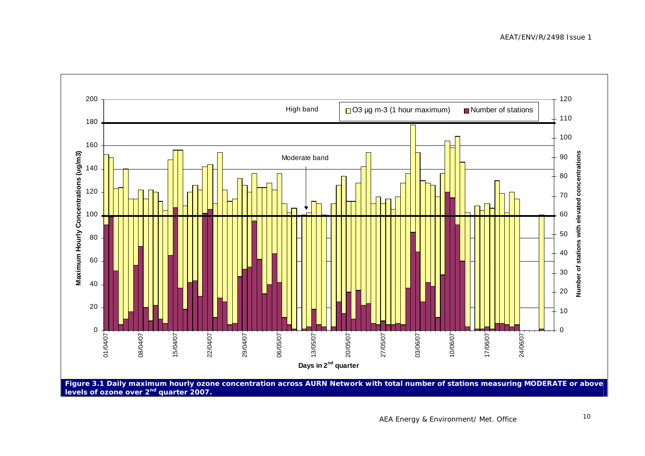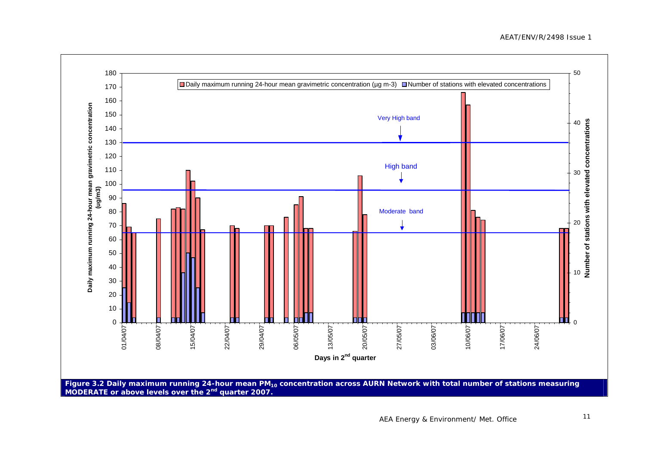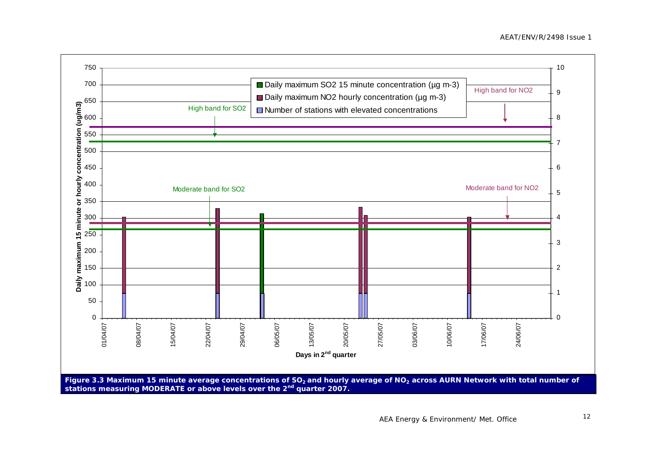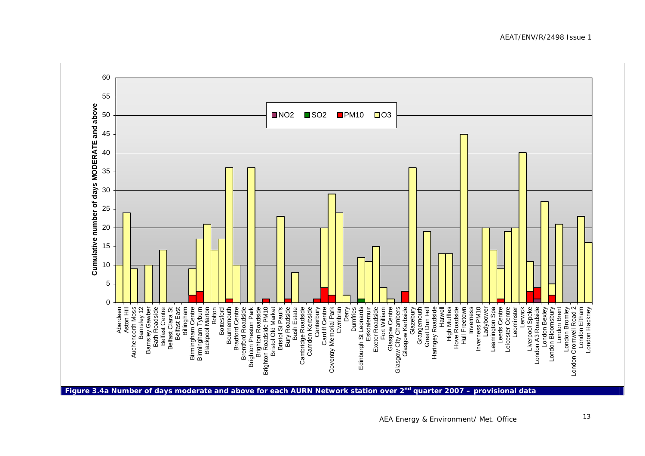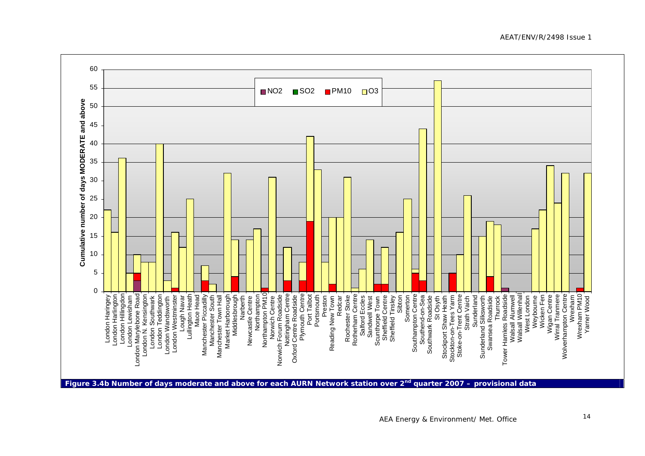60 55■NO<sub>2</sub>  $\blacksquare$ SO2  $\blacksquare$ PM10  $\blacksquare$ O3 **d ab o v e** 5045**f days MODERATE an** 40353025**b er o** ┍ 20**u m Cumulative n** 151050Wrexham<br>Wrexham PM10<br>Yarner Wood London Harlington<br>London Hillingdon<br>London Hillingdon London Marylebone Road<br>London Marylebone Road London N. Kensington London Teddington<br>London Wandsworth Plymouth Centre<br>Port Talbot Rotherham Centre Southampton Centre Walsall Alumwell<br>Walsall Willenhall London Westminster Manchester Piccadilly w.<br>Middlesbrough<br>Narberth Northampton Northampton PM10<br>Norwich Centre Oxford Centre Roadside Portsmouth Preston Redcar Southend-on-Sea Southwark Roadside<br>Stockport Shaw Heath Stockton-on-Tees Yarm<br>Stoke-on-Trent Centre Wicken Fen Wigan Centre Wirral Tranmere Wolverhampton Centre London Hillingdon London Marylebone Road London Southwark Lullington Heath Manchester Piccadilly Manchester South orwich Forum Roadside<br>Nottingham Centre Plymouth Centre Port Talbot Rochester Stoke otherham Centre Somerton Southampton Centre Sunderland Walsall Willenhall West London Weybourne Wolverhampton Centre Wrexham PM10 London Haringey . Kensington London Teddington London Westminster avar Mace Head all arborough Oxford Centre Roadside Portsmouth ochester Stoke Salford Eccles Sandwell West Somerton Southend-on-Sea Stoke-on-Trent Centre Strath Vaich Sunderland Silksworth Swansea Roadside Thurrock amlets Roadside Wicken Fen Wigan Centre Wirral Tranmere London Lewisham London Southwark Manchester South Reading New Town Salford Eccles Sandwell West nown<br>Centre<br>Sibton<br>Sibton Sheffield Centre Sheffield Tinsley Southwark Roadside Stockport Shaw Heath Stockton-on-Tees Yarm Strath Vaich Sunderland Sunderland Silksworth Swansea Roadside Thurrock West London Weybourne Wrexham Yarner Wood Scunthorpe Tow t<br>E Walsall Alumw London Wandsw Lough N Manchester Tow London H London H Market H London N New<br>Z er H Tow z

**Figure 3.4b Number of days moderate and above for each AURN Network station over 2nd quarter 2007 – provisional data** 

AEAT/ENV/R/2498 Issue 1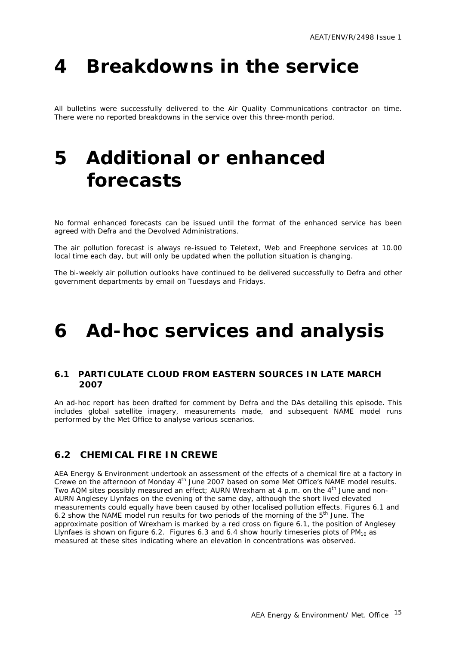## <span id="page-17-0"></span>**4 Breakdowns in the service**

All bulletins were successfully delivered to the Air Quality Communications contractor on time. There were no reported breakdowns in the service over this three-month period.

## **5 Additional or enhanced forecasts**

No formal enhanced forecasts can be issued until the format of the enhanced service has been agreed with Defra and the Devolved Administrations.

The air pollution forecast is always re-issued to Teletext, Web and Freephone services at 10.00 local time each day, but will only be updated when the pollution situation is changing.

The bi-weekly air pollution outlooks have continued to be delivered successfully to Defra and other government departments by email on Tuesdays and Fridays.

## **6 Ad-hoc services and analysis**

#### **6.1 PARTICULATE CLOUD FROM EASTERN SOURCES IN LATE MARCH 2007**

An ad-hoc report has been drafted for comment by Defra and the DAs detailing this episode. This includes global satellite imagery, measurements made, and subsequent NAME model runs performed by the Met Office to analyse various scenarios.

### **6.2 CHEMICAL FIRE IN CREWE**

AEA Energy & Environment undertook an assessment of the effects of a chemical fire at a factory in Crewe on the afternoon of Monday 4<sup>th</sup> June 2007 based on some Met Office's NAME model results. Two AQM sites possibly measured an effect; AURN Wrexham at 4 p.m. on the  $4<sup>th</sup>$  June and non-AURN Anglesey Llynfaes on the evening of the same day, although the short lived elevated measurements could equally have been caused by other localised pollution effects. Figures 6.1 and 6.2 show the NAME model run results for two periods of the morning of the  $5<sup>th</sup>$  June. The approximate position of Wrexham is marked by a red cross on figure 6.1, the position of Anglesey Llynfaes is shown on figure 6.2. Figures 6.3 and 6.4 show hourly timeseries plots of  $PM_{10}$  as measured at these sites indicating where an elevation in concentrations was observed.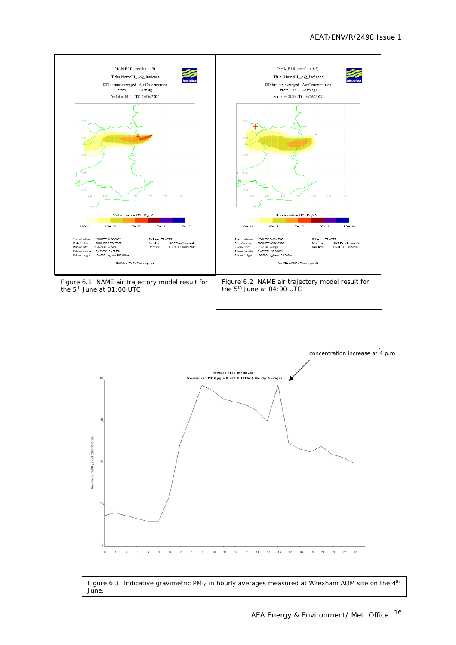



Figure 6.3 Indicative gravimetric PM<sub>10</sub> in hourly averages measured at Wrexham AQM site on the  $4<sup>th</sup>$ June.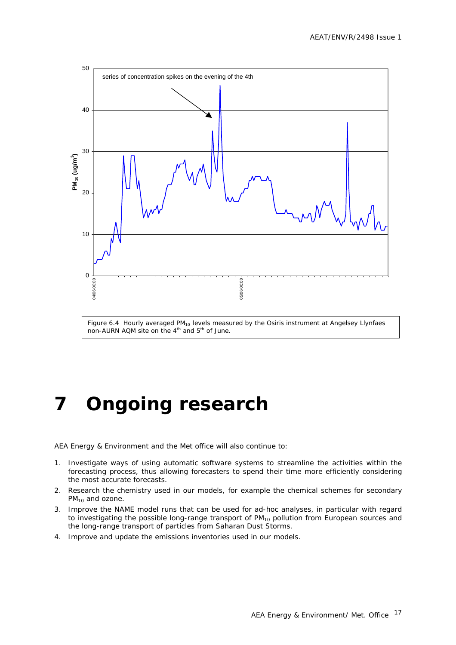<span id="page-19-0"></span>

# **7 Ongoing research**

AEA Energy & Environment and the Met office will also continue to:

- 1. Investigate ways of using automatic software systems to streamline the activities within the forecasting process, thus allowing forecasters to spend their time more efficiently considering the most accurate forecasts.
- 2. Research the chemistry used in our models, for example the chemical schemes for secondary  $PM_{10}$  and ozone.
- 3. Improve the NAME model runs that can be used for ad-hoc analyses, in particular with regard to investigating the possible long-range transport of  $PM_{10}$  pollution from European sources and the long-range transport of particles from Saharan Dust Storms.
- 4. Improve and update the emissions inventories used in our models.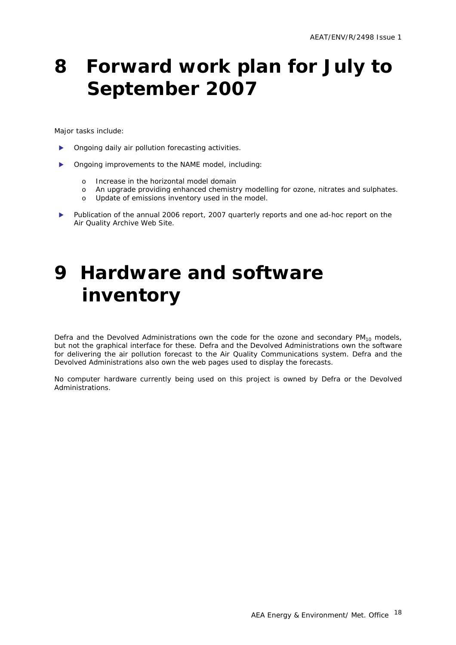## <span id="page-20-0"></span>**8 Forward work plan for July to September 2007**

Major tasks include:

- Ongoing daily air pollution forecasting activities.
- Ongoing improvements to the NAME model, including:
	- o Increase in the horizontal model domain
	- o An upgrade providing enhanced chemistry modelling for ozone, nitrates and sulphates.
	- o Update of emissions inventory used in the model.
- Publication of the annual 2006 report, 2007 quarterly reports and one ad-hoc report on the Air Quality Archive Web Site.

## **9 Hardware and software inventory**

Defra and the Devolved Administrations own the code for the ozone and secondary  $PM_{10}$  models, but not the graphical interface for these. Defra and the Devolved Administrations own the software for delivering the air pollution forecast to the Air Quality Communications system. Defra and the Devolved Administrations also own the web pages used to display the forecasts.

No computer hardware currently being used on this project is owned by Defra or the Devolved Administrations.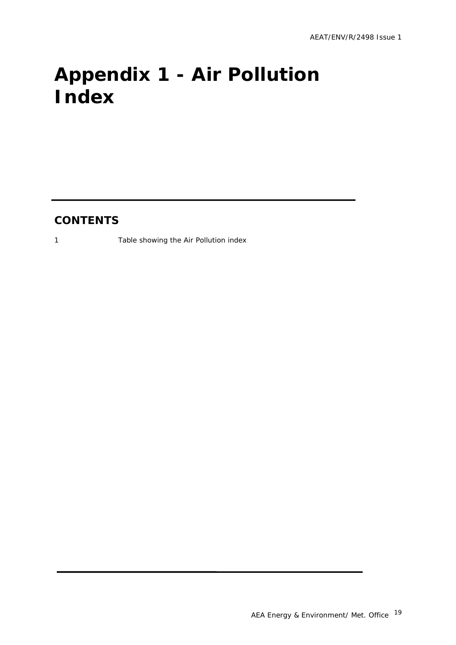# <span id="page-21-0"></span>**Appendix 1 - Air Pollution Index**

### **CONTENTS**

1 Table showing the Air Pollution index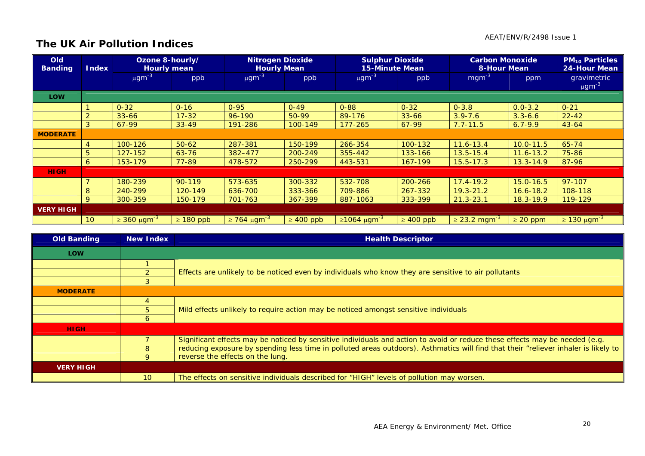### **The UK Air Pollution Indices**

| Old<br><b>Banding</b> | <b>Index</b>    | Ozone 8-hourly/<br><b>Hourly mean</b> |                | <b>Nitrogen Dioxide</b><br><b>Hourly Mean</b> |                | <b>Sulphur Dioxide</b><br><b>15-Minute Mean</b> |                | <b>Carbon Monoxide</b><br><b>8-Hour Mean</b> |               | <b>PM<sub>10</sub> Particles</b><br>24-Hour Mean |
|-----------------------|-----------------|---------------------------------------|----------------|-----------------------------------------------|----------------|-------------------------------------------------|----------------|----------------------------------------------|---------------|--------------------------------------------------|
|                       |                 | $\mu$ gm <sup>-3</sup>                | ppb            | $\mu$ gm <sup>-3</sup>                        | ppb            | $\mu$ gm <sup>-3</sup>                          | ppb            | $mgm^{-3}$                                   | ppm           | gravimetric<br>$\mu$ gm <sup>-3</sup>            |
| <b>LOW</b>            |                 |                                       |                |                                               |                |                                                 |                |                                              |               |                                                  |
|                       |                 | $0 - 32$                              | $0 - 16$       | $0 - 95$                                      | $0 - 49$       | $0 - 88$                                        | $0 - 32$       | $0 - 3.8$                                    | $0.0 - 3.2$   | $0 - 21$                                         |
|                       | 2               | $33 - 66$                             | $17 - 32$      | 96-190                                        | $50-99$        | 89-176                                          | $33 - 66$      | $3.9 - 7.6$                                  | $3.3 - 6.6$   | $22 - 42$                                        |
|                       | 3               | 67-99                                 | $33 - 49$      | 191-286                                       | 100-149        | 177-265                                         | $67-99$        | $7.7 - 11.5$                                 | $6.7 - 9.9$   | $43 - 64$                                        |
| <b>MODERATE</b>       |                 |                                       |                |                                               |                |                                                 |                |                                              |               |                                                  |
|                       |                 | 100-126                               | $50 - 62$      | 287-381                                       | 150-199        | 266-354                                         | 100-132        | $11.6 - 13.4$                                | $10.0 - 11.5$ | $65 - 74$                                        |
|                       | 5               | 127-152                               | $63 - 76$      | 382-477                                       | 200-249        | 355-442                                         | 133-166        | $13.5 - 15.4$                                | $11.6 - 13.2$ | 75-86                                            |
|                       | 6               | 153-179                               | 77-89          | 478-572                                       | 250-299        | 443-531                                         | 167-199        | $15.5 - 17.3$                                | $13.3 - 14.9$ | 87-96                                            |
| <b>HIGH</b>           |                 |                                       |                |                                               |                |                                                 |                |                                              |               |                                                  |
|                       |                 | 180-239                               | $90 - 119$     | 573-635                                       | 300-332        | 532-708                                         | 200-266        | $17.4 - 19.2$                                | $15.0 - 16.5$ | 97-107                                           |
|                       | 8               | 240-299                               | 120-149        | 636-700                                       | 333-366        | 709-886                                         | 267-332        | $19.3 - 21.2$                                | $16.6 - 18.2$ | 108-118                                          |
|                       | 9               | 300-359                               | 150-179        | 701-763                                       | 367-399        | 887-1063                                        | 333-399        | $21.3 - 23.1$                                | $18.3 - 19.9$ | 119-129                                          |
| <b>VERY HIGH</b>      |                 |                                       |                |                                               |                |                                                 |                |                                              |               |                                                  |
|                       | 10 <sup>°</sup> | $\geq 360 \ \mu \text{gm}^{-3}$       | $\geq 180$ ppb | $\geq$ 764 µgm <sup>-3</sup>                  | $\geq 400$ ppb | $≥1064 \mu g m-3$                               | $\geq 400$ ppb | $\geq$ 23.2 mgm <sup>-3</sup>                | $\geq 20$ ppm | $\geq$ 130 μgm <sup>-3</sup>                     |

| <b>Old Banding</b> | New Index | <b>Health Descriptor</b>                                                                                                            |  |  |  |  |  |  |
|--------------------|-----------|-------------------------------------------------------------------------------------------------------------------------------------|--|--|--|--|--|--|
| <b>LOW</b>         |           |                                                                                                                                     |  |  |  |  |  |  |
|                    |           |                                                                                                                                     |  |  |  |  |  |  |
|                    |           | Effects are unlikely to be noticed even by individuals who know they are sensitive to air pollutants                                |  |  |  |  |  |  |
|                    | 3.        |                                                                                                                                     |  |  |  |  |  |  |
| <b>MODERATE</b>    |           |                                                                                                                                     |  |  |  |  |  |  |
|                    |           |                                                                                                                                     |  |  |  |  |  |  |
|                    | 5.        | Mild effects unlikely to require action may be noticed amongst sensitive individuals                                                |  |  |  |  |  |  |
|                    | 6         |                                                                                                                                     |  |  |  |  |  |  |
| <b>HIGH</b>        |           |                                                                                                                                     |  |  |  |  |  |  |
|                    |           | Significant effects may be noticed by sensitive individuals and action to avoid or reduce these effects may be needed (e.g.         |  |  |  |  |  |  |
|                    | 8         | reducing exposure by spending less time in polluted areas outdoors). Asthmatics will find that their "reliever inhaler is likely to |  |  |  |  |  |  |
|                    | 9         | reverse the effects on the lung.                                                                                                    |  |  |  |  |  |  |
| <b>VERY HIGH</b>   |           |                                                                                                                                     |  |  |  |  |  |  |
|                    | 10        | The effects on sensitive individuals described for "HIGH" levels of pollution may worsen.                                           |  |  |  |  |  |  |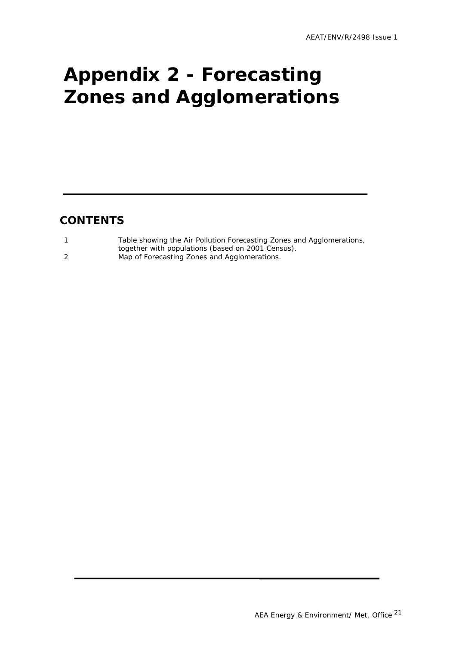# <span id="page-23-0"></span>**Appendix 2 - Forecasting Zones and Agglomerations**

### **CONTENTS**

| Table showing the Air Pollution Forecasting Zones and Agglomerations, |
|-----------------------------------------------------------------------|
| together with populations (based on 2001 Census).                     |
| Map of Forecasting Zones and Agglomerations.                          |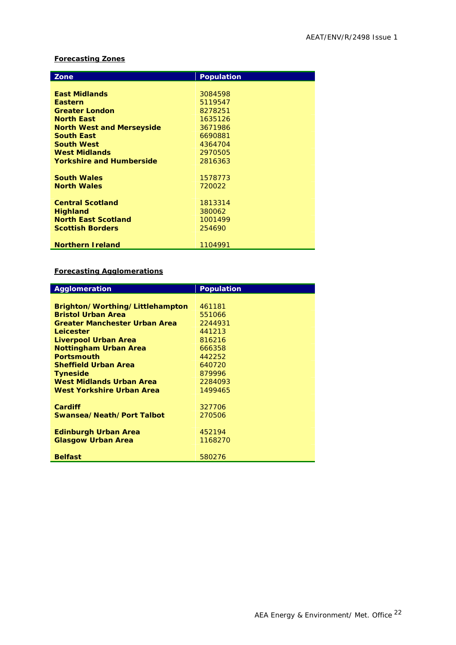#### **Forecasting Zones**

| Zone                             | <b>Population</b> |
|----------------------------------|-------------------|
|                                  |                   |
| <b>East Midlands</b>             | 3084598           |
| <b>Eastern</b>                   | 5119547           |
| <b>Greater London</b>            | 8278251           |
| <b>North East</b>                | 1635126           |
| <b>North West and Merseyside</b> | 3671986           |
| <b>South East</b>                | 6690881           |
| <b>South West</b>                | 4364704           |
| <b>West Midlands</b>             | 2970505           |
| <b>Yorkshire and Humberside</b>  | 2816363           |
|                                  |                   |
| <b>South Wales</b>               | 1578773           |
| <b>North Wales</b>               | 720022            |
|                                  |                   |
| <b>Central Scotland</b>          | 1813314           |
| <b>Highland</b>                  | 380062            |
| <b>North East Scotland</b>       | 1001499           |
| <b>Scottish Borders</b>          | 254690            |
|                                  |                   |
| <b>Northern Ireland</b>          | 1104991           |

#### **Forecasting Agglomerations**

| <b>Agglomeration</b>                 | <b>Population</b> |
|--------------------------------------|-------------------|
|                                      |                   |
| Brighton/Worthing/Littlehampton      | 461181            |
| <b>Bristol Urban Area</b>            | 551066            |
| <b>Greater Manchester Urban Area</b> | 2244931           |
| Leicester                            | 441213            |
| Liverpool Urban Area                 | 816216            |
| <b>Nottingham Urban Area</b>         | 666358            |
| <b>Portsmouth</b>                    | 442252            |
| <b>Sheffield Urban Area</b>          | 640720            |
| <b>Tyneside</b>                      | 879996            |
| <b>West Midlands Urban Area</b>      | 2284093           |
| West Yorkshire Urban Area            | 1499465           |
|                                      |                   |
| <b>Cardiff</b>                       | 327706            |
| Swansea/Neath/Port Talbot            | 270506            |
|                                      |                   |
| <b>Edinburgh Urban Area</b>          | 452194            |
| <b>Glasgow Urban Area</b>            | 1168270           |
|                                      |                   |
| <b>Belfast</b>                       | 580276            |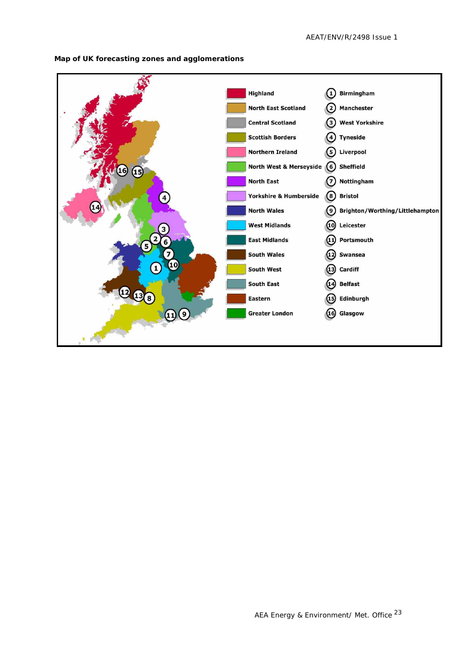

**Map of UK forecasting zones and agglomerations**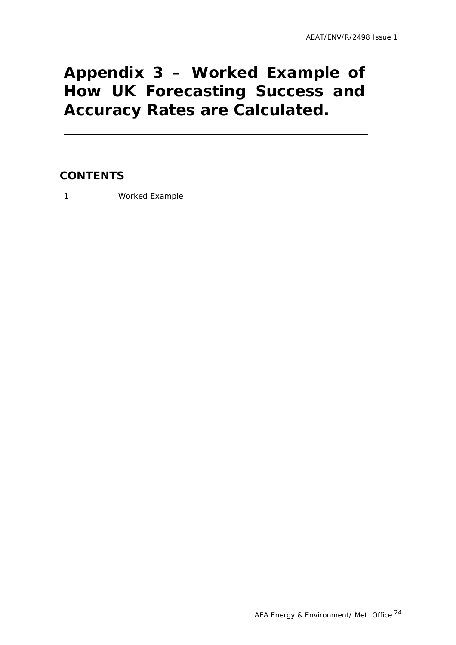### <span id="page-26-0"></span>**Appendix 3 – Worked Example of How UK Forecasting Success and Accuracy Rates are Calculated.**

### **CONTENTS**

1 Worked Example